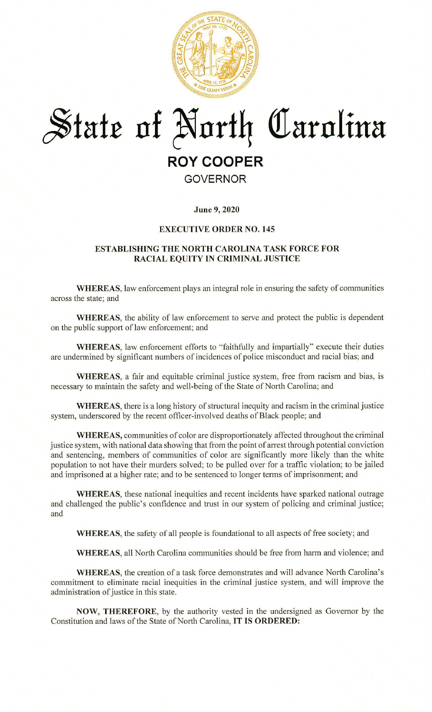

# **~tatr nf ~nrt4 @arnlina**

## **ROY COOPER**

### **GOVERNOR**

**June 9, 2020** 

#### **EXECUTIVE ORDER NO. 145**

#### **ESTABLISHING THE NORTH CAROLINA TASK FORCE FOR RACIAL EQUITY IN CRIMINAL JUSTICE**

**WHEREAS,** law enforcement plays an integral role in ensuring the safety of communities across the state; and

**WHEREAS,** the ability of law enforcement to serve and protect the public is dependent on the public support of law enforcement; and

**WHEREAS,** law enforcement efforts to "faithfully and impartially" execute their duties are undermined by significant numbers of incidences of police misconduct and racial bias; and

**WHEREAS,** a fair and equitable criminal justice system, free from racism and bias, is necessary to maintain the safety and well-being of the State of North Carolina; and

**WHEREAS,** there is a long history of structural inequity and racism in the criminal justice system, underscored by the recent officer-involved deaths of Black people; and

**WHEREAS, communities of color are disproportionately affected throughout the criminal** justice system, with national data showing that from the point of arrest through potential conviction and sentencing, members of communities of color are significantly more likely than the white population to not have their murders solved; to be pulled over for a traffic violation; to be jailed and imprisoned at a higher rate; and to be sentenced to longer terms of imprisonment; and

**WHEREAS,** these national inequities and recent incidents have sparked national outrage and challenged the public's confidence and trust in our system of policing and criminal justice; and

WHEREAS, the safety of all people is foundational to all aspects of free society; and

**WHEREAS,** all North Carolina communities should be free from harm and violence; and

**WHEREAS,** the creation of a task force demonstrates and will advance North Carolina's commitment to eliminate racial inequities in the criminal justice system, and will improve the administration of justice in this state.

**NOW, THEREFORE,** by the authority vested in the undersigned as Governor by the Constitution and laws of the State of North Carolina, **IT IS ORDERED:**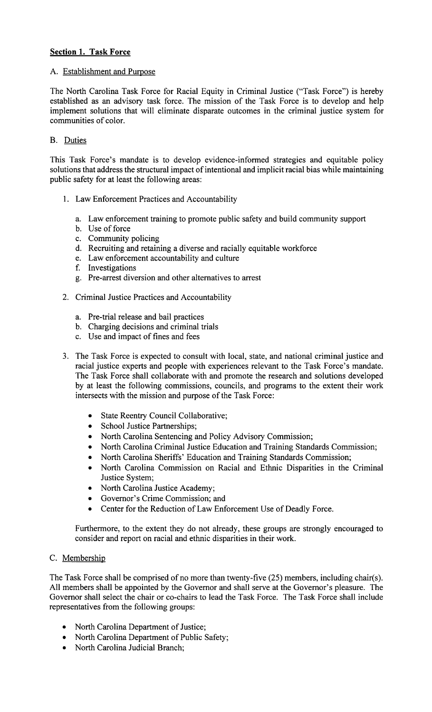#### **Section 1. Task Force**

#### A. Establishment and Purpose

The North Carolina Task Force for Racial Equity in Criminal Justice ("Task Force") is hereby established as an advisory task force. The mission of the Task Force is to develop and help implement solutions that will eliminate disparate outcomes in the criminal justice system for communities of color.

#### B. Duties

This Task Force's mandate is to develop evidence-informed strategies and equitable policy solutions that address the structural impact of intentional and implicit racial bias while maintaining public safety for at least the following areas:

- I. Law Enforcement Practices and Accountability
	- a. Law enforcement training to promote public safety and build community support
	- b. Use of force
	- c. Community policing
	- d. Recruiting and retaining a diverse and racially equitable workforce
	- e. Law enforcement accountability and culture
	- f. Investigations
	- g. Pre-arrest diversion and other alternatives to arrest
- 2. Criminal Justice Practices and Accountability
	- a. Pre-trial release and bail practices
	- b. Charging decisions and criminal trials
	- c. Use and impact of fines and fees
- 3. The Task Force is expected to consult with local, state, and national criminal justice and racial justice experts and people with experiences relevant to the Task Force's mandate. The Task Force shall collaborate with and promote the research and solutions developed by at least the following commissions, councils, and programs to the extent their work intersects with the mission and purpose of the Task Force:
	- State Reentry Council Collaborative;
	- School Justice Partnerships;
	- North Carolina Sentencing and Policy Advisory Commission;
	- North Carolina Criminal Justice Education and Training Standards Commission;
	- North Carolina Sheriffs' Education and Training Standards Commission;
	- North Carolina Commission on Racial and Ethnic Disparities in the Criminal Justice System;
	- North Carolina Justice Academy;
	- Governor's Crime Commission; and
	- Center for the Reduction of Law Enforcement Use of Deadly Force.

Furthermore, to the extent they do not already, these groups are strongly encouraged to consider and report on racial and ethnic disparities in their work.

#### C. Membership

The Task Force shall be comprised of no more than twenty-five (25) members, including chair(s). All members shall be appointed by the Governor and shall serve at the Governor's pleasure. The Governor shall select the chair or co-chairs to lead the Task Force. The Task Force shall include representatives from the following groups:

- North Carolina Department of Justice;
- North Carolina Department of Public Safety;
- North Carolina Judicial Branch;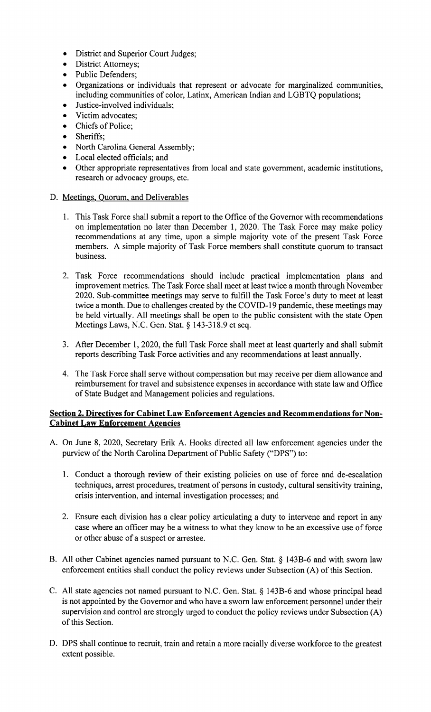- District and Superior Court Judges;
- District Attorneys;
- Public Defenders;
- Organizations or individuals that represent or advocate for marginalized communities, including communities of color, Latinx, American Indian and LGBTQ populations;
- Justice-involved individuals;
- Victim advocates;
- Chiefs of Police;
- Sheriffs:
- North Carolina General Assembly;
- Local elected officials; and
- Other appropriate representatives from local and state government, academic institutions, research or advocacy groups, etc.
- D. Meetings, Quorum, and Deliverables
	- 1. This Task Force shall submit a report to the Office of the Governor with recommendations on implementation no later than December **1,** 2020. The Task Force may make policy recommendations at any time, upon a simple majority vote of the present Task Force members. A simple majority of Task Force members shall constitute quorum to transact business.
	- 2. Task Force recommendations should include practical implementation plans and improvement metrics. The Task Force shall meet at least twice a month through November 2020. Sub-committee meetings may serve to fulfill the Task Force's duty to meet at least twice a month. Due to challenges created by the COVID-19 pandemic, these meetings may be held virtually. All meetings shall be open to the public consistent with the state Open Meetings Laws, N.C. Gen. Stat. § 143-318.9 et seq.
	- 3. After December 1, 2020, the full Task Force shall meet at least quarterly and shall submit reports describing Task Force activities and any recommendations at least annually.
	- 4. The Task Force shall serve without compensation but may receive per diem allowance and reimbursement for travel and subsistence expenses in accordance with state law and Office of State Budget and Management policies and regulations.

#### **Section 2. Directives for Cabinet Law Enforcement Agencies and Recommendations for Non-Cabinet Law Enforcement Agencies**

- A. On June 8, 2020, Secretary Erik A. Hooks directed all law enforcement agencies under the purview of the North Carolina Department of Public Safety ("DPS") to:
	- 1. Conduct a thorough review of their existing policies on use of force and de-escalation techniques, arrest procedures, treatment of persons in custody, cultural sensitivity training, crisis intervention, and internal investigation processes; and
	- 2. Ensure each division has a clear policy articulating a duty to intervene and report in any case where an officer may be a witness to what they know to be an excessive use of force or other abuse of a suspect or arrestee.
- B. All other Cabinet agencies named pursuant to N.C. Gen. Stat. § 143B-6 and with sworn law enforcement entities shall conduct the policy reviews under Subsection (A) of this Section.
- C. All state agencies not named pursuant to N.C. Gen. Stat. § 143B-6 and whose principal head is not appointed by the Governor and who have a sworn law enforcement personnel under their supervision and control are strongly urged to conduct the policy reviews under Subsection (A) of this Section.
- D. DPS shall continue to recruit, train and retain a more racially diverse workforce to the greatest extent possible.